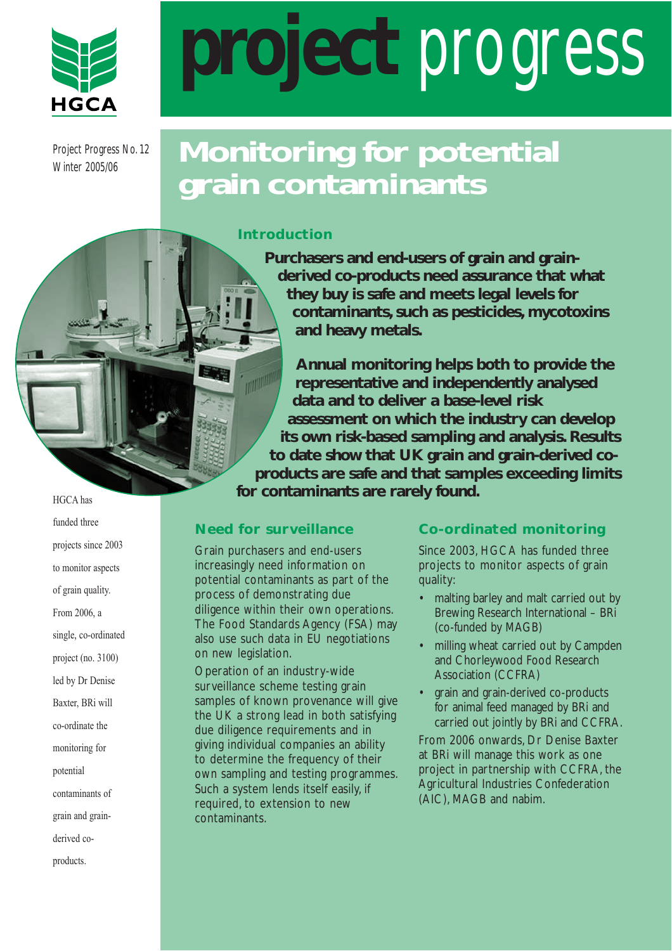

Project Progress No. 12 Winter 2005/06

# **project** progress

# **Monitoring for potential grain contaminants**

#### **Introduction**

**Purchasers and end-users of grain and grainderived co-products need assurance that what they buy is safe and meets legal levels for contaminants, such as pesticides, mycotoxins and heavy metals.**

**Annual monitoring helps both to provide the MARKET representative and independently analysed data and to deliver a base-level risk assessment on which the industry can develop its own risk-based sampling and analysis. Results to date show that UK grain and grain-derived coproducts are safe and that samples exceeding limits for contaminants are rarely found.**

# **Need for surveillance**

Grain purchasers and end-users increasingly need information on potential contaminants as part of the process of demonstrating due diligence within their own operations. The Food Standards Agency (FSA) may also use such data in EU negotiations on new legislation.

Operation of an industry-wide surveillance scheme testing grain samples of known provenance will give the UK a strong lead in both satisfying due diligence requirements and in giving individual companies an ability to determine the frequency of their own sampling and testing programmes. Such a system lends itself easily, if required, to extension to new contaminants.

# **Co-ordinated monitoring**

Since 2003, HGCA has funded three projects to monitor aspects of grain quality:

- malting barley and malt carried out by Brewing Research International – BRi (co-funded by MAGB)
- milling wheat carried out by Campden and Chorleywood Food Research Association (CCFRA)
- grain and grain-derived co-products for animal feed managed by BRi and carried out jointly by BRi and CCFRA.

From 2006 onwards, Dr Denise Baxter at BRi will manage this work as one project in partnership with CCFRA, the Agricultural Industries Confederation (AIC), MAGB and nabim.

HGCA has funded three projects since 2003 to monitor aspects of grain quality. From 2006, a single, co-ordinated project (no. 3100) led by Dr Denise Baxter, BRi will co-ordinate the monitoring for potential contaminants of grain and grainderived co-

products.